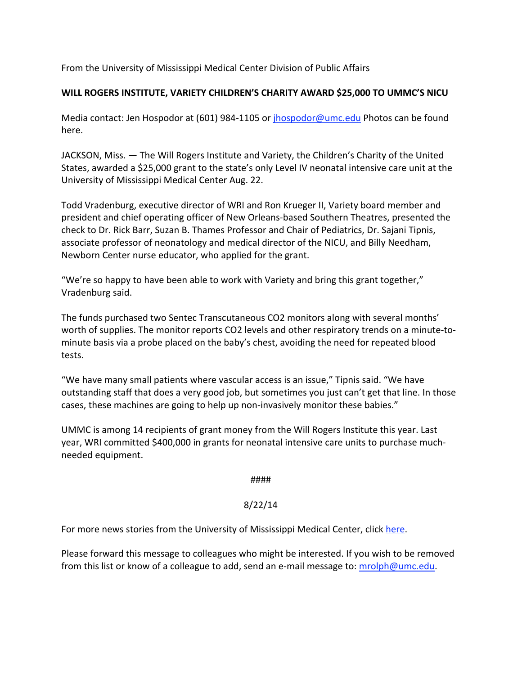From the University of Mississippi Medical Center Division of Public Affairs

### **WILL ROGERS INSTITUTE, VARIETY CHILDREN'S CHARITY AWARD \$25,000 TO UMMC'S NICU**

Media contact: Jen Hospodor at (601) 984‐1105 or jhospodor@umc.edu Photos can be found here.

JACKSON, Miss. — The Will Rogers Institute and Variety, the Children's Charity of the United States, awarded a \$25,000 grant to the state's only Level IV neonatal intensive care unit at the University of Mississippi Medical Center Aug. 22.

Todd Vradenburg, executive director of WRI and Ron Krueger II, Variety board member and president and chief operating officer of New Orleans‐based Southern Theatres, presented the check to Dr. Rick Barr, Suzan B. Thames Professor and Chair of Pediatrics, Dr. Sajani Tipnis, associate professor of neonatology and medical director of the NICU, and Billy Needham, Newborn Center nurse educator, who applied for the grant.

"We're so happy to have been able to work with Variety and bring this grant together," Vradenburg said.

The funds purchased two Sentec Transcutaneous CO2 monitors along with several months' worth of supplies. The monitor reports CO2 levels and other respiratory trends on a minute-tominute basis via a probe placed on the baby's chest, avoiding the need for repeated blood tests.

"We have many small patients where vascular access is an issue," Tipnis said. "We have outstanding staff that does a very good job, but sometimes you just can't get that line. In those cases, these machines are going to help up non‐invasively monitor these babies."

UMMC is among 14 recipients of grant money from the Will Rogers Institute this year. Last year, WRI committed \$400,000 in grants for neonatal intensive care units to purchase much‐ needed equipment.

####

# 8/22/14

For more news stories from the University of Mississippi Medical Center, click here.

Please forward this message to colleagues who might be interested. If you wish to be removed from this list or know of a colleague to add, send an e-mail message to: mrolph@umc.edu.